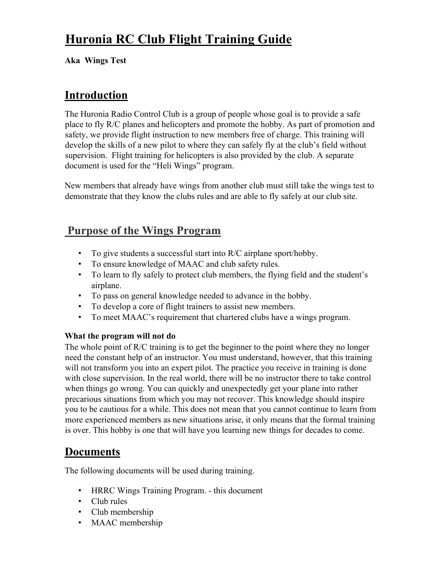# **Huronia RC Club Flight Training Guide**

**Aka Wings Test**

### **Introduction**

The Huronia Radio Control Club is a group of people whose goal is to provide a safe place to fly R/C planes and helicopters and promote the hobby. As part of promotion and safety, we provide flight instruction to new members free of charge. This training will develop the skills of a new pilot to where they can safely fly at the club's field without supervision. Flight training for helicopters is also provided by the club. A separate document is used for the "Heli Wings" program.

New members that already have wings from another club must still take the wings test to demonstrate that they know the clubs rules and are able to fly safely at our club site.

## **Purpose of the Wings Program**

- To give students a successful start into R/C airplane sport/hobby.
- To ensure knowledge of MAAC and club safety rules.
- To learn to fly safely to protect club members, the flying field and the student's airplane.
- To pass on general knowledge needed to advance in the hobby.
- To develop a core of flight trainers to assist new members.
- To meet MAAC's requirement that chartered clubs have a wings program.

#### **What the program will not do**

The whole point of R/C training is to get the beginner to the point where they no longer need the constant help of an instructor. You must understand, however, that this training will not transform you into an expert pilot. The practice you receive in training is done with close supervision. In the real world, there will be no instructor there to take control when things go wrong. You can quickly and unexpectedly get your plane into rather precarious situations from which you may not recover. This knowledge should inspire you to be cautious for a while. This does not mean that you cannot continue to learn from more experienced members as new situations arise, it only means that the formal training is over. This hobby is one that will have you learning new things for decades to come.

# **Documents**

The following documents will be used during training.

- HRRC Wings Training Program. this document
- Club rules
- Club membership
- MAAC membership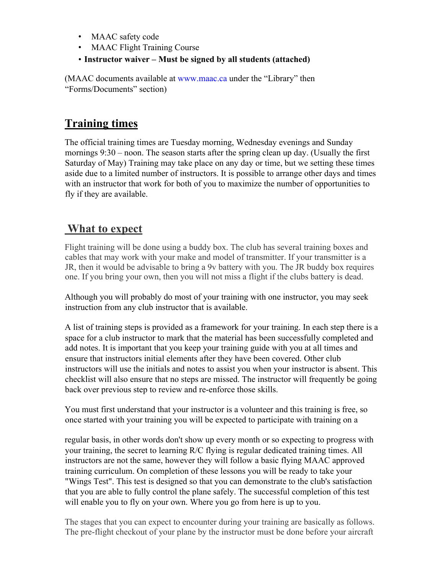- MAAC safety code
- MAAC Flight Training Course
- **Instructor waiver – Must be signed by all students (attached)**

(MAAC documents available at www.maac.ca under the "Library" then "Forms/Documents" section)

# **Training times**

The official training times are Tuesday morning, Wednesday evenings and Sunday mornings 9:30 – noon. The season starts after the spring clean up day. (Usually the first Saturday of May) Training may take place on any day or time, but we setting these times aside due to a limited number of instructors. It is possible to arrange other days and times with an instructor that work for both of you to maximize the number of opportunities to fly if they are available.

## **What to expect**

Flight training will be done using a buddy box. The club has several training boxes and cables that may work with your make and model of transmitter. If your transmitter is a JR, then it would be advisable to bring a 9v battery with you. The JR buddy box requires one. If you bring your own, then you will not miss a flight if the clubs battery is dead.

Although you will probably do most of your training with one instructor, you may seek instruction from any club instructor that is available.

A list of training steps is provided as a framework for your training. In each step there is a space for a club instructor to mark that the material has been successfully completed and add notes. It is important that you keep your training guide with you at all times and ensure that instructors initial elements after they have been covered. Other club instructors will use the initials and notes to assist you when your instructor is absent. This checklist will also ensure that no steps are missed. The instructor will frequently be going back over previous step to review and re-enforce those skills.

You must first understand that your instructor is a volunteer and this training is free, so once started with your training you will be expected to participate with training on a

regular basis, in other words don't show up every month or so expecting to progress with your training, the secret to learning R/C flying is regular dedicated training times. All instructors are not the same, however they will follow a basic flying MAAC approved training curriculum. On completion of these lessons you will be ready to take your "Wings Test". This test is designed so that you can demonstrate to the club's satisfaction that you are able to fully control the plane safely. The successful completion of this test will enable you to fly on your own. Where you go from here is up to you.

The stages that you can expect to encounter during your training are basically as follows. The pre-flight checkout of your plane by the instructor must be done before your aircraft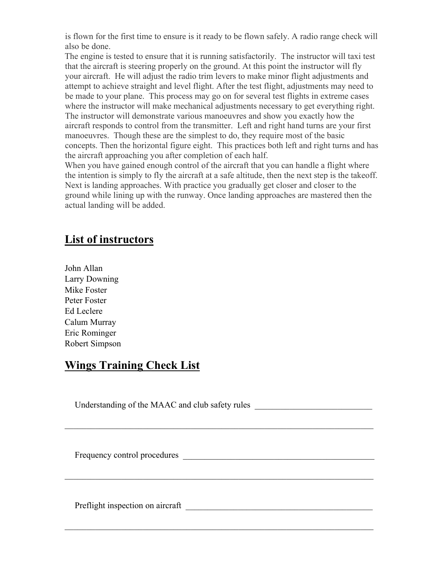is flown for the first time to ensure is it ready to be flown safely. A radio range check will also be done.

The engine is tested to ensure that it is running satisfactorily. The instructor will taxi test that the aircraft is steering properly on the ground. At this point the instructor will fly your aircraft. He will adjust the radio trim levers to make minor flight adjustments and attempt to achieve straight and level flight. After the test flight, adjustments may need to be made to your plane. This process may go on for several test flights in extreme cases where the instructor will make mechanical adjustments necessary to get everything right. The instructor will demonstrate various manoeuvres and show you exactly how the aircraft responds to control from the transmitter. Left and right hand turns are your first manoeuvres. Though these are the simplest to do, they require most of the basic concepts. Then the horizontal figure eight. This practices both left and right turns and has the aircraft approaching you after completion of each half.

When you have gained enough control of the aircraft that you can handle a flight where the intention is simply to fly the aircraft at a safe altitude, then the next step is the takeoff. Next is landing approaches. With practice you gradually get closer and closer to the ground while lining up with the runway. Once landing approaches are mastered then the actual landing will be added.

### **List of instructors**

John Allan Larry Downing Mike Foster Peter Foster Ed Leclere Calum Murray Eric Rominger Robert Simpson

### **Wings Training Check List**

| Understanding of the MAAC and club safety rules |
|-------------------------------------------------|
| Frequency control procedures                    |
| Preflight inspection on aircraft                |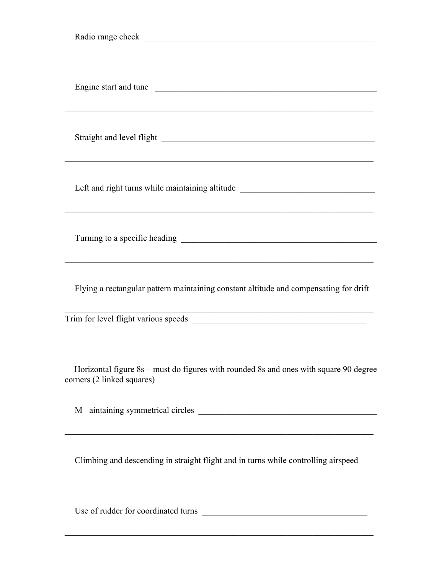| Engine start and tune<br>,我们也不能在这里的时候,我们也不能在这里的时候,我们也不能会在这里的时候,我们也不能会在这里的时候,我们也不能会在这里的时候,我们也不能会在这里的时候,我们也不                                                                                                   |
|--------------------------------------------------------------------------------------------------------------------------------------------------------------------------------------------------------------|
| Straight and level flight expression of the straight and level flight                                                                                                                                        |
| Left and right turns while maintaining altitude ________________________________                                                                                                                             |
|                                                                                                                                                                                                              |
| Flying a rectangular pattern maintaining constant altitude and compensating for drift<br><u> 1999 - 1999 - 1999 - 1999 - 1999 - 1999 - 1999 - 1999 - 1999 - 1999 - 1999 - 1999 - 1999 - 1999 - 1999 - 19</u> |
|                                                                                                                                                                                                              |
| Horizontal figure 8s - must do figures with rounded 8s and ones with square 90 degree                                                                                                                        |
|                                                                                                                                                                                                              |
| Climbing and descending in straight flight and in turns while controlling airspeed                                                                                                                           |
| Use of rudder for coordinated turns                                                                                                                                                                          |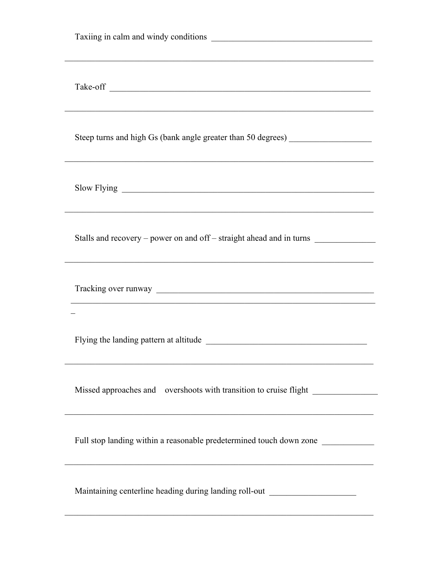| ,我们也不能在这里的时候,我们也不能在这里的时候,我们也不能会在这里的时候,我们也不能会在这里的时候,我们也不能会在这里的时候,我们也不能会在这里的时候,我们也<br>Steep turns and high Gs (bank angle greater than 50 degrees) ___________________<br>,我们也不能在这里的时候,我们也不能在这里的时候,我们也不能会在这里的时候,我们也不能会在这里的时候,我们也不能会在这里的时候,我们也不能会在这里的时候,我们也不 |
|-----------------------------------------------------------------------------------------------------------------------------------------------------------------------------------------------------------------------------------------------------------|
| ,我们也不能在这里的时候,我们也不能在这里的时候,我们也不能会在这里的时候,我们也不能会在这里的时候,我们也不能会在这里的时候,我们也不能会在这里的时候,我们也                                                                                                                                                                          |
| Stalls and recovery – power on and off – straight ahead and in turns<br><u> 1989 - Johann Stoff, amerikansk politiker (d. 1989)</u>                                                                                                                       |
|                                                                                                                                                                                                                                                           |
|                                                                                                                                                                                                                                                           |
| Missed approaches and overshoots with transition to cruise flight ______________<br><u> 1989 - Johann Stoff, amerikansk politiker (* 1908)</u>                                                                                                            |
| Full stop landing within a reasonable predetermined touch down zone ____________                                                                                                                                                                          |
| Maintaining centerline heading during landing roll-out _________________________                                                                                                                                                                          |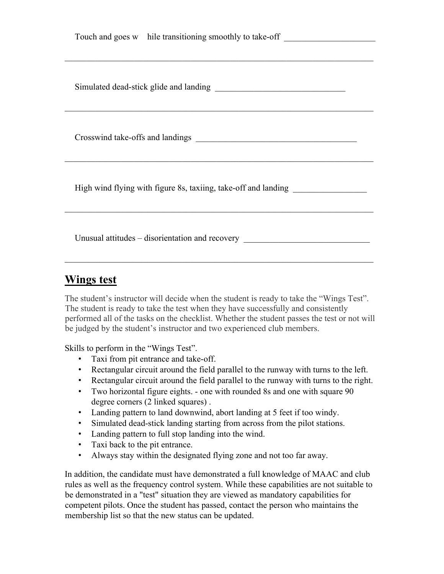| Touch and goes w hile transitioning smoothly to take-off _______________________ |
|----------------------------------------------------------------------------------|
|                                                                                  |
|                                                                                  |
|                                                                                  |
| High wind flying with figure 8s, taxiing, take-off and landing _________________ |
| Unusual attitudes – disorientation and recovery                                  |

### **Wings test**

The student's instructor will decide when the student is ready to take the "Wings Test". The student is ready to take the test when they have successfully and consistently performed all of the tasks on the checklist. Whether the student passes the test or not will be judged by the student's instructor and two experienced club members.

Skills to perform in the "Wings Test".

- Taxi from pit entrance and take-off.
- Rectangular circuit around the field parallel to the runway with turns to the left.
- Rectangular circuit around the field parallel to the runway with turns to the right.
- Two horizontal figure eights. one with rounded 8s and one with square 90 degree corners (2 linked squares) .
- Landing pattern to land downwind, abort landing at 5 feet if too windy.
- Simulated dead-stick landing starting from across from the pilot stations.
- Landing pattern to full stop landing into the wind.
- Taxi back to the pit entrance.
- Always stay within the designated flying zone and not too far away.

In addition, the candidate must have demonstrated a full knowledge of MAAC and club rules as well as the frequency control system. While these capabilities are not suitable to be demonstrated in a "test" situation they are viewed as mandatory capabilities for competent pilots. Once the student has passed, contact the person who maintains the membership list so that the new status can be updated.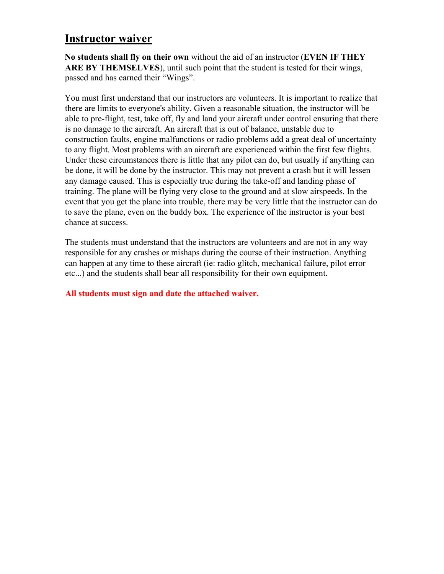### **Instructor waiver**

**No students shall fly on their own** without the aid of an instructor (**EVEN IF THEY ARE BY THEMSELVES**), until such point that the student is tested for their wings, passed and has earned their "Wings".

You must first understand that our instructors are volunteers. It is important to realize that there are limits to everyone's ability. Given a reasonable situation, the instructor will be able to pre-flight, test, take off, fly and land your aircraft under control ensuring that there is no damage to the aircraft. An aircraft that is out of balance, unstable due to construction faults, engine malfunctions or radio problems add a great deal of uncertainty to any flight. Most problems with an aircraft are experienced within the first few flights. Under these circumstances there is little that any pilot can do, but usually if anything can be done, it will be done by the instructor. This may not prevent a crash but it will lessen any damage caused. This is especially true during the take-off and landing phase of training. The plane will be flying very close to the ground and at slow airspeeds. In the event that you get the plane into trouble, there may be very little that the instructor can do to save the plane, even on the buddy box. The experience of the instructor is your best chance at success.

The students must understand that the instructors are volunteers and are not in any way responsible for any crashes or mishaps during the course of their instruction. Anything can happen at any time to these aircraft (ie: radio glitch, mechanical failure, pilot error etc...) and the students shall bear all responsibility for their own equipment.

#### **All students must sign and date the attached waiver.**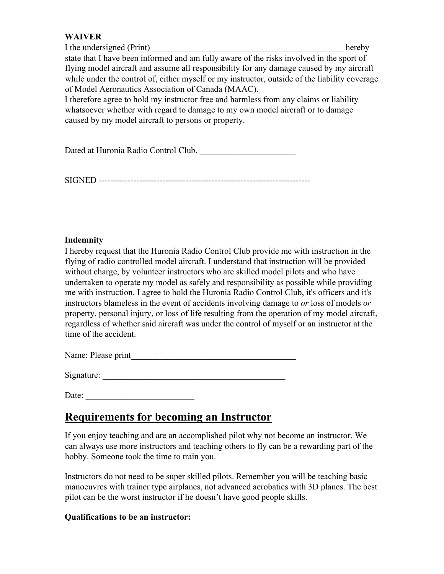#### **WAIVER**

I the undersigned (Print) hereby state that I have been informed and am fully aware of the risks involved in the sport of flying model aircraft and assume all responsibility for any damage caused by my aircraft while under the control of, either myself or my instructor, outside of the liability coverage of Model Aeronautics Association of Canada (MAAC). I therefore agree to hold my instructor free and harmless from any claims or liability whatsoever whether with regard to damage to my own model aircraft or to damage caused by my model aircraft to persons or property.

Dated at Huronia Radio Control Club. \_\_\_\_\_\_\_\_\_\_\_\_\_\_\_\_\_\_\_\_\_\_

SIGNED -------------------------------------------------------------------------

#### **Indemnity**

I hereby request that the Huronia Radio Control Club provide me with instruction in the flying of radio controlled model aircraft. I understand that instruction will be provided without charge, by volunteer instructors who are skilled model pilots and who have undertaken to operate my model as safely and responsibility as possible while providing me with instruction. I agree to hold the Huronia Radio Control Club, it's officers and it's instructors blameless in the event of accidents involving damage to *or* loss of models *or*  property, personal injury, or loss of life resulting from the operation of my model aircraft, regardless of whether said aircraft was under the control of myself or an instructor at the time of the accident.

Name: Please print\_\_\_\_\_\_\_\_\_\_\_\_\_\_\_\_\_\_\_\_\_\_\_\_\_\_\_\_\_\_\_\_\_\_\_\_\_\_

Signature:

Date:

# **Requirements for becoming an Instructor**

If you enjoy teaching and are an accomplished pilot why not become an instructor. We can always use more instructors and teaching others to fly can be a rewarding part of the hobby. Someone took the time to train you.

Instructors do not need to be super skilled pilots. Remember you will be teaching basic manoeuvres with trainer type airplanes, not advanced aerobatics with 3D planes. The best pilot can be the worst instructor if he doesn't have good people skills.

#### **Qualifications to be an instructor:**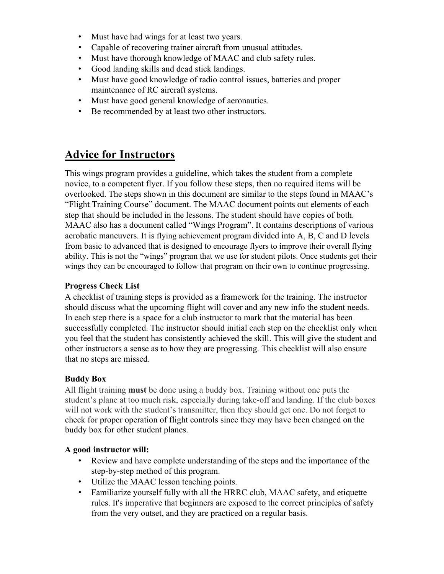- Must have had wings for at least two years.
- Capable of recovering trainer aircraft from unusual attitudes.
- Must have thorough knowledge of MAAC and club safety rules.
- Good landing skills and dead stick landings.
- Must have good knowledge of radio control issues, batteries and proper maintenance of RC aircraft systems.
- Must have good general knowledge of aeronautics.
- Be recommended by at least two other instructors.

### **Advice for Instructors**

This wings program provides a guideline, which takes the student from a complete novice, to a competent flyer. If you follow these steps, then no required items will be overlooked. The steps shown in this document are similar to the steps found in MAAC's "Flight Training Course" document. The MAAC document points out elements of each step that should be included in the lessons. The student should have copies of both. MAAC also has a document called "Wings Program". It contains descriptions of various aerobatic maneuvers. It is flying achievement program divided into A, B, C and D levels from basic to advanced that is designed to encourage flyers to improve their overall flying ability. This is not the "wings" program that we use for student pilots. Once students get their wings they can be encouraged to follow that program on their own to continue progressing.

#### **Progress Check List**

A checklist of training steps is provided as a framework for the training. The instructor should discuss what the upcoming flight will cover and any new info the student needs. In each step there is a space for a club instructor to mark that the material has been successfully completed. The instructor should initial each step on the checklist only when you feel that the student has consistently achieved the skill. This will give the student and other instructors a sense as to how they are progressing. This checklist will also ensure that no steps are missed.

#### **Buddy Box**

All flight training **must** be done using a buddy box. Training without one puts the student's plane at too much risk, especially during take-off and landing. If the club boxes will not work with the student's transmitter, then they should get one. Do not forget to check for proper operation of flight controls since they may have been changed on the buddy box for other student planes.

#### **A good instructor will:**

- Review and have complete understanding of the steps and the importance of the step-by-step method of this program.
- Utilize the MAAC lesson teaching points.
- Familiarize yourself fully with all the HRRC club, MAAC safety, and etiquette rules. It's imperative that beginners are exposed to the correct principles of safety from the very outset, and they are practiced on a regular basis.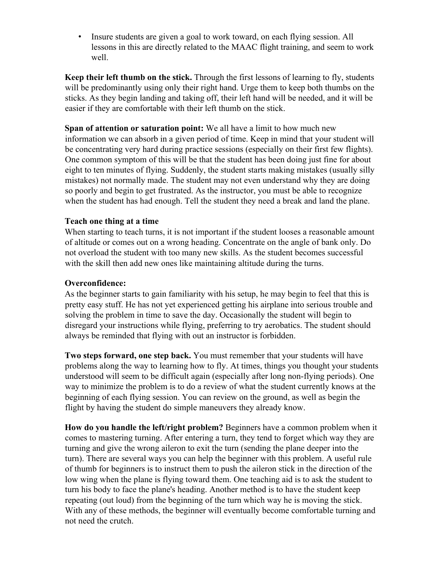• Insure students are given a goal to work toward, on each flying session. All lessons in this are directly related to the MAAC flight training, and seem to work well.

**Keep their left thumb on the stick.** Through the first lessons of learning to fly, students will be predominantly using only their right hand. Urge them to keep both thumbs on the sticks. As they begin landing and taking off, their left hand will be needed, and it will be easier if they are comfortable with their left thumb on the stick.

**Span of attention or saturation point:** We all have a limit to how much new information we can absorb in a given period of time. Keep in mind that your student will be concentrating very hard during practice sessions (especially on their first few flights). One common symptom of this will be that the student has been doing just fine for about eight to ten minutes of flying. Suddenly, the student starts making mistakes (usually silly mistakes) not normally made. The student may not even understand why they are doing so poorly and begin to get frustrated. As the instructor, you must be able to recognize when the student has had enough. Tell the student they need a break and land the plane.

#### **Teach one thing at a time**

When starting to teach turns, it is not important if the student looses a reasonable amount of altitude or comes out on a wrong heading. Concentrate on the angle of bank only. Do not overload the student with too many new skills. As the student becomes successful with the skill then add new ones like maintaining altitude during the turns.

#### **Overconfidence:**

As the beginner starts to gain familiarity with his setup, he may begin to feel that this is pretty easy stuff. He has not yet experienced getting his airplane into serious trouble and solving the problem in time to save the day. Occasionally the student will begin to disregard your instructions while flying, preferring to try aerobatics. The student should always be reminded that flying with out an instructor is forbidden.

**Two steps forward, one step back.** You must remember that your students will have problems along the way to learning how to fly. At times, things you thought your students understood will seem to be difficult again (especially after long non-flying periods). One way to minimize the problem is to do a review of what the student currently knows at the beginning of each flying session. You can review on the ground, as well as begin the flight by having the student do simple maneuvers they already know.

**How do you handle the left/right problem?** Beginners have a common problem when it comes to mastering turning. After entering a turn, they tend to forget which way they are turning and give the wrong aileron to exit the turn (sending the plane deeper into the turn). There are several ways you can help the beginner with this problem. A useful rule of thumb for beginners is to instruct them to push the aileron stick in the direction of the low wing when the plane is flying toward them. One teaching aid is to ask the student to turn his body to face the plane's heading. Another method is to have the student keep repeating (out loud) from the beginning of the turn which way he is moving the stick. With any of these methods, the beginner will eventually become comfortable turning and not need the crutch.